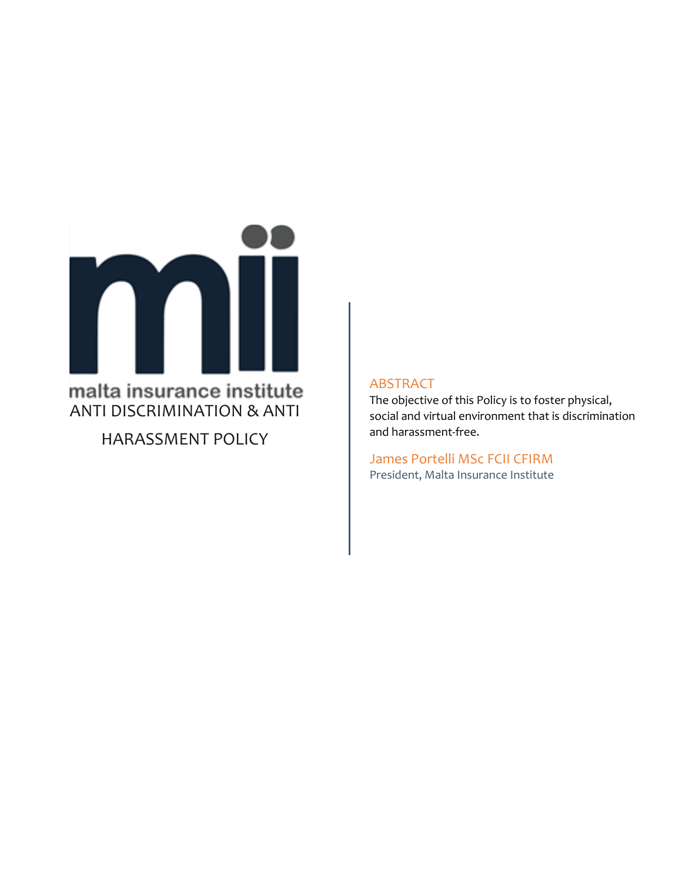

HARASSMENT POLICY

### ABSTRACT

The objective of this Policy is to foster physical, social and virtual environment that is discrimination and harassment-free.

James Portelli MSc FCII CFIRM President, Malta Insurance Institute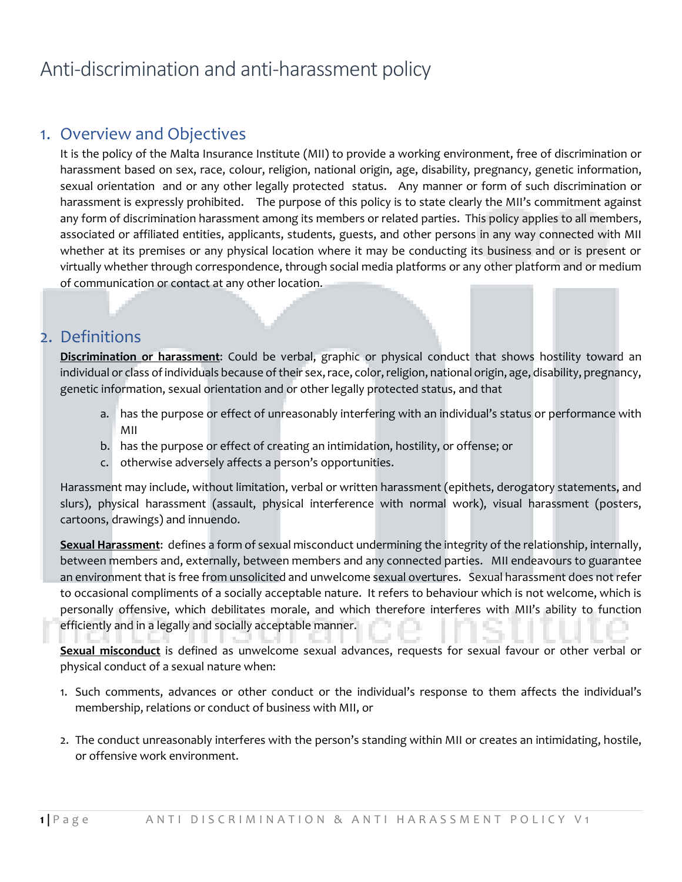# Anti-discrimination and anti-harassment policy

## 1. Overview and Objectives

It is the policy of the Malta Insurance Institute (MII) to provide a working environment, free of discrimination or harassment based on sex, race, colour, religion, national origin, age, disability, pregnancy, genetic information, sexual orientation and or any other legally protected status. Any manner or form of such discrimination or harassment is expressly prohibited. The purpose of this policy is to state clearly the MII's commitment against any form of discrimination harassment among its members or related parties. This policy applies to all members, associated or affiliated entities, applicants, students, guests, and other persons in any way connected with MII whether at its premises or any physical location where it may be conducting its business and or is present or virtually whether through correspondence, through social media platforms or any other platform and or medium of communication or contact at any other location.

### 2. Definitions

**Discrimination or harassment**: Could be verbal, graphic or physical conduct that shows hostility toward an individual or class of individuals because of their sex, race, color, religion, national origin, age, disability, pregnancy, genetic information, sexual orientation and or other legally protected status, and that

- a. has the purpose or effect of unreasonably interfering with an individual's status or performance with MII
- b. has the purpose or effect of creating an intimidation, hostility, or offense; or
- c. otherwise adversely affects a person's opportunities.

Harassment may include, without limitation, verbal or written harassment (epithets, derogatory statements, and slurs), physical harassment (assault, physical interference with normal work), visual harassment (posters, cartoons, drawings) and innuendo.

**Sexual Harassment**: defines a form of sexual misconduct undermining the integrity of the relationship, internally, between members and, externally, between members and any connected parties. MII endeavours to guarantee an environment that is free from unsolicited and unwelcome sexual overtures. Sexual harassment does not refer to occasional compliments of a socially acceptable nature. It refers to behaviour which is not welcome, which is personally offensive, which debilitates morale, and which therefore interferes with MII's ability to function efficiently and in a legally and socially acceptable manner.

**Sexual misconduct** is defined as unwelcome sexual advances, requests for sexual favour or other verbal or physical conduct of a sexual nature when:

- 1. Such comments, advances or other conduct or the individual's response to them affects the individual's membership, relations or conduct of business with MII, or
- 2. The conduct unreasonably interferes with the person's standing within MII or creates an intimidating, hostile, or offensive work environment.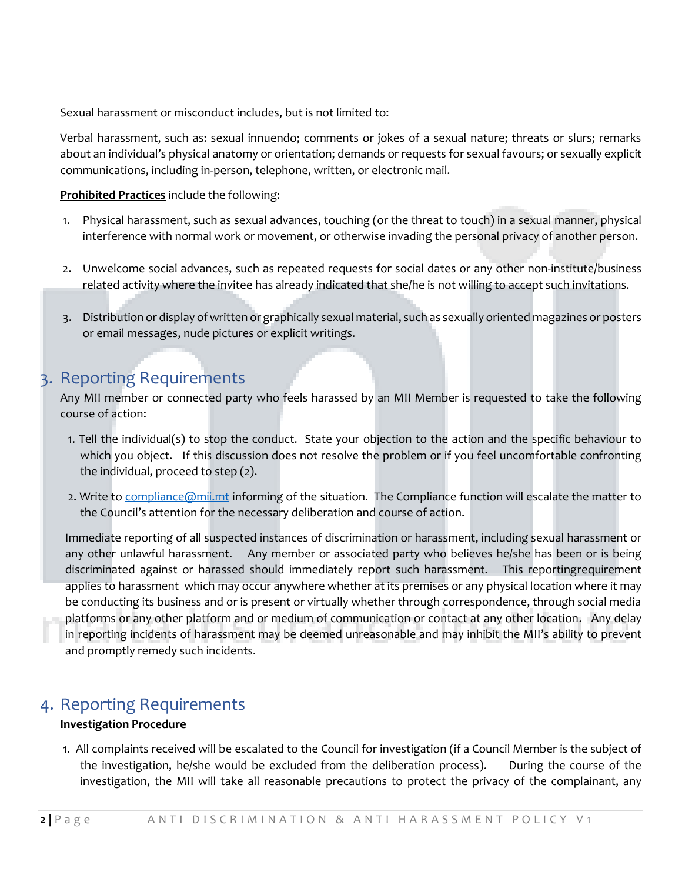Sexual harassment or misconduct includes, but is not limited to:

Verbal harassment, such as: sexual innuendo; comments or jokes of a sexual nature; threats or slurs; remarks about an individual's physical anatomy or orientation; demands or requests for sexual favours; or sexually explicit communications, including in-person, telephone, written, or electronic mail.

### **Prohibited Practices** include the following:

- 1. Physical harassment, such as sexual advances, touching (or the threat to touch) in a sexual manner, physical interference with normal work or movement, or otherwise invading the personal privacy of another person.
- 2. Unwelcome social advances, such as repeated requests for social dates or any other non-institute/business related activity where the invitee has already indicated that she/he is not willing to accept such invitations.
- 3. Distribution or display of written or graphically sexual material, such as sexually oriented magazines or posters or email messages, nude pictures or explicit writings.

# 3. Reporting Requirements

Any MII member or connected party who feels harassed by an MII Member is requested to take the following course of action:

- 1. Tell the individual(s) to stop the conduct. State your objection to the action and the specific behaviour to which you object. If this discussion does not resolve the problem or if you feel uncomfortable confronting the individual, proceed to step (2).
- 2. Write to compliance @mii.mt informing of the situation. The Compliance function will escalate the matter to the Council's attention for the necessary deliberation and course of action.

Immediate reporting of all suspected instances of discrimination or harassment, including sexual harassment or any other unlawful harassment. Any member or associated party who believes he/she has been or is being discriminated against or harassed should immediately report such harassment. This reportingrequirement applies to harassment which may occur anywhere whether at its premises or any physical location where it may be conducting its business and or is present or virtually whether through correspondence, through social media platforms or any other platform and or medium of communication or contact at any other location. Any delay in reporting incidents of harassment may be deemed unreasonable and may inhibit the MII's ability to prevent and promptly remedy such incidents.

### 4. Reporting Requirements

### **Investigation Procedure**

1. All complaints received will be escalated to the Council for investigation (if a Council Member is the subject of the investigation, he/she would be excluded from the deliberation process). During the course of the investigation, the MII will take all reasonable precautions to protect the privacy of the complainant, any